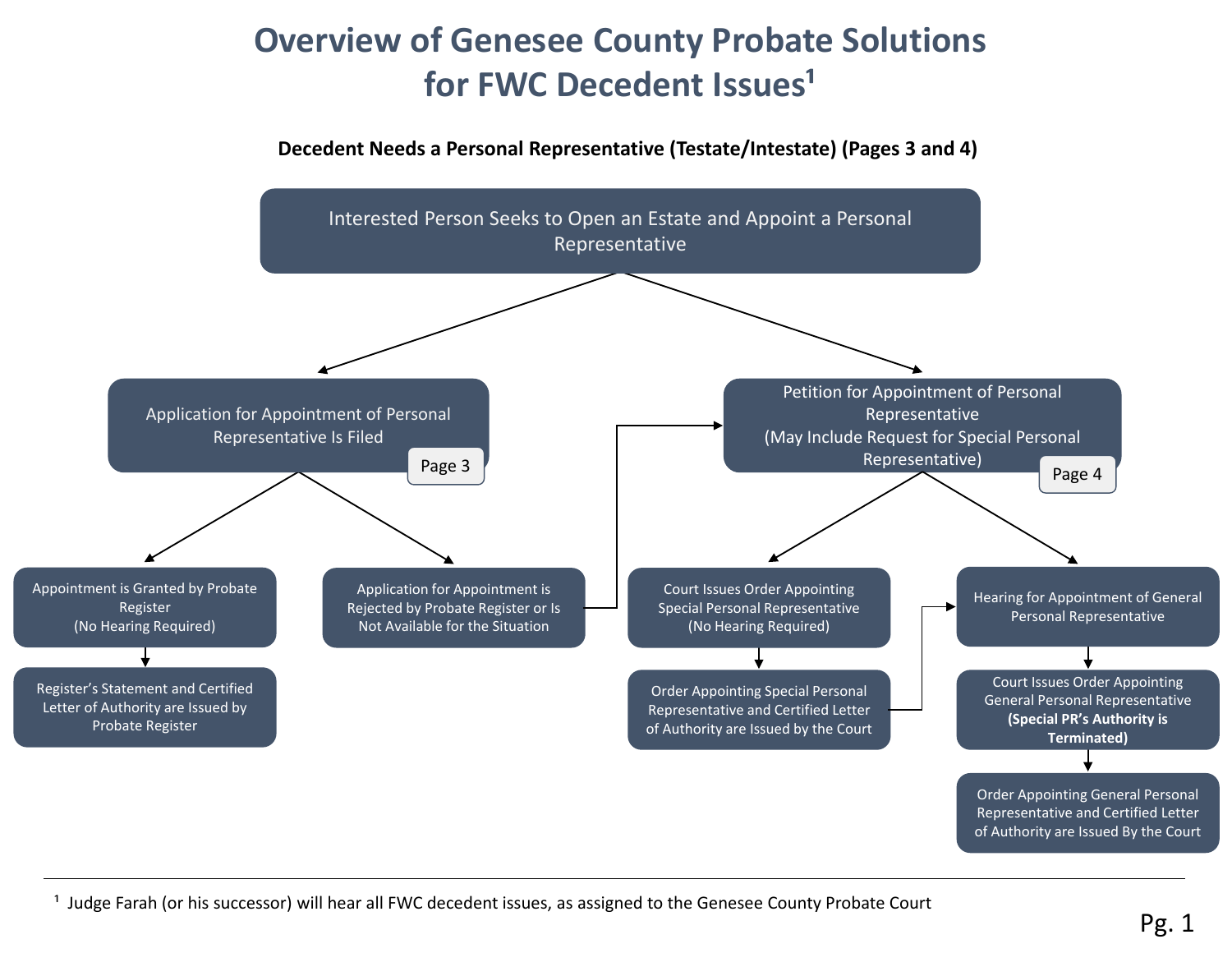# **Overview of Genesee County Probate Solutions for FWC Decedent Issues<sup>1</sup>**

### **Decedent Needs a Personal Representative (Testate/Intestate) (Pages 3 and 4)**



<sup>1</sup> Judge Farah (or his successor) will hear all FWC decedent issues, as assigned to the Genesee County Probate Court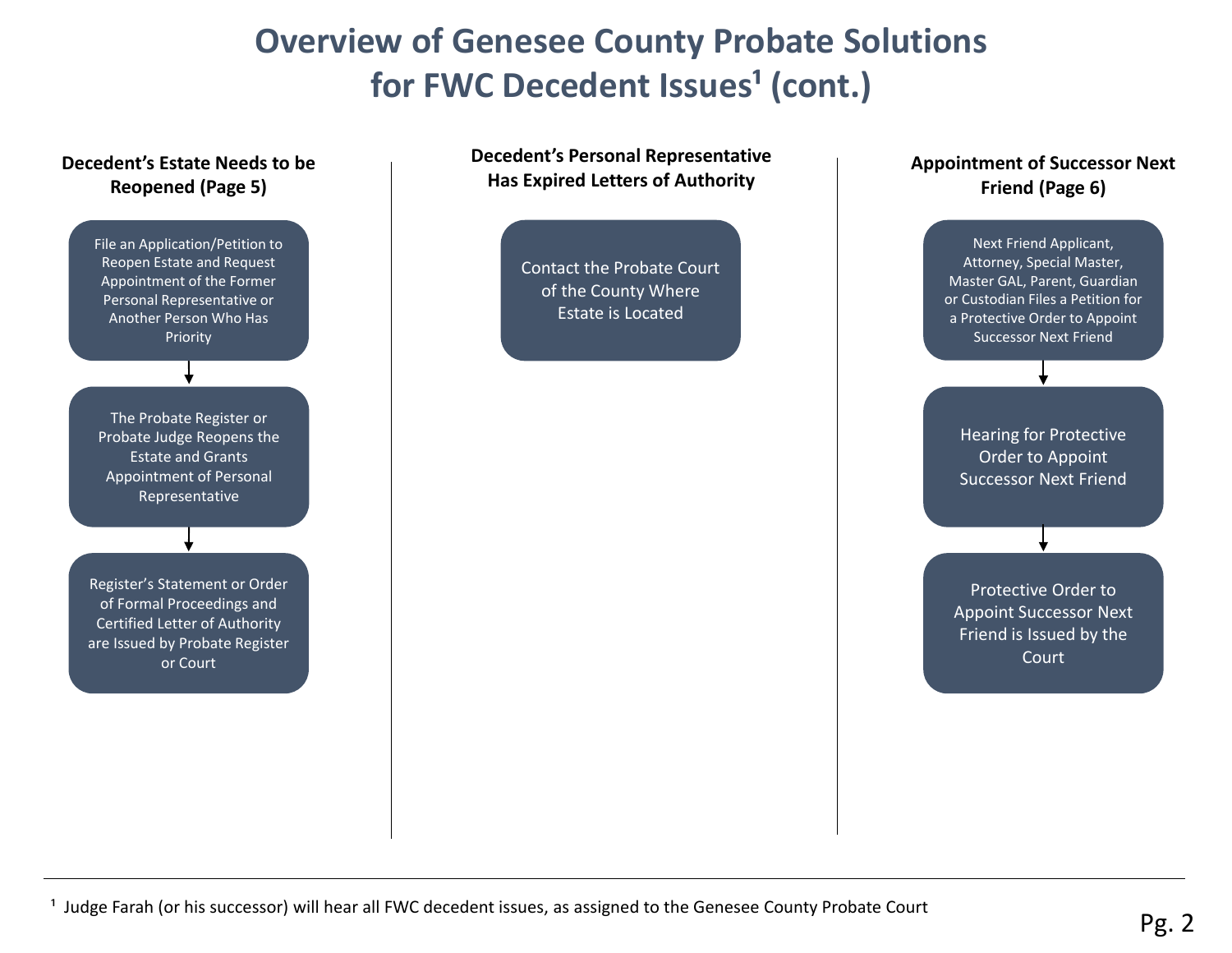# **Overview of Genesee County Probate Solutions**  for **FWC** Decedent Issues<sup>1</sup> (cont.)



#### **Appointment of Successor Next Friend (Page 6)**

Next Friend Applicant, Attorney, Special Master, Master GAL, Parent, Guardian or Custodian Files a Petition for a Protective Order to Appoint Successor Next Friend

Hearing for Protective Order to Appoint Successor Next Friend

Protective Order to Appoint Successor Next Friend is Issued by the **Court**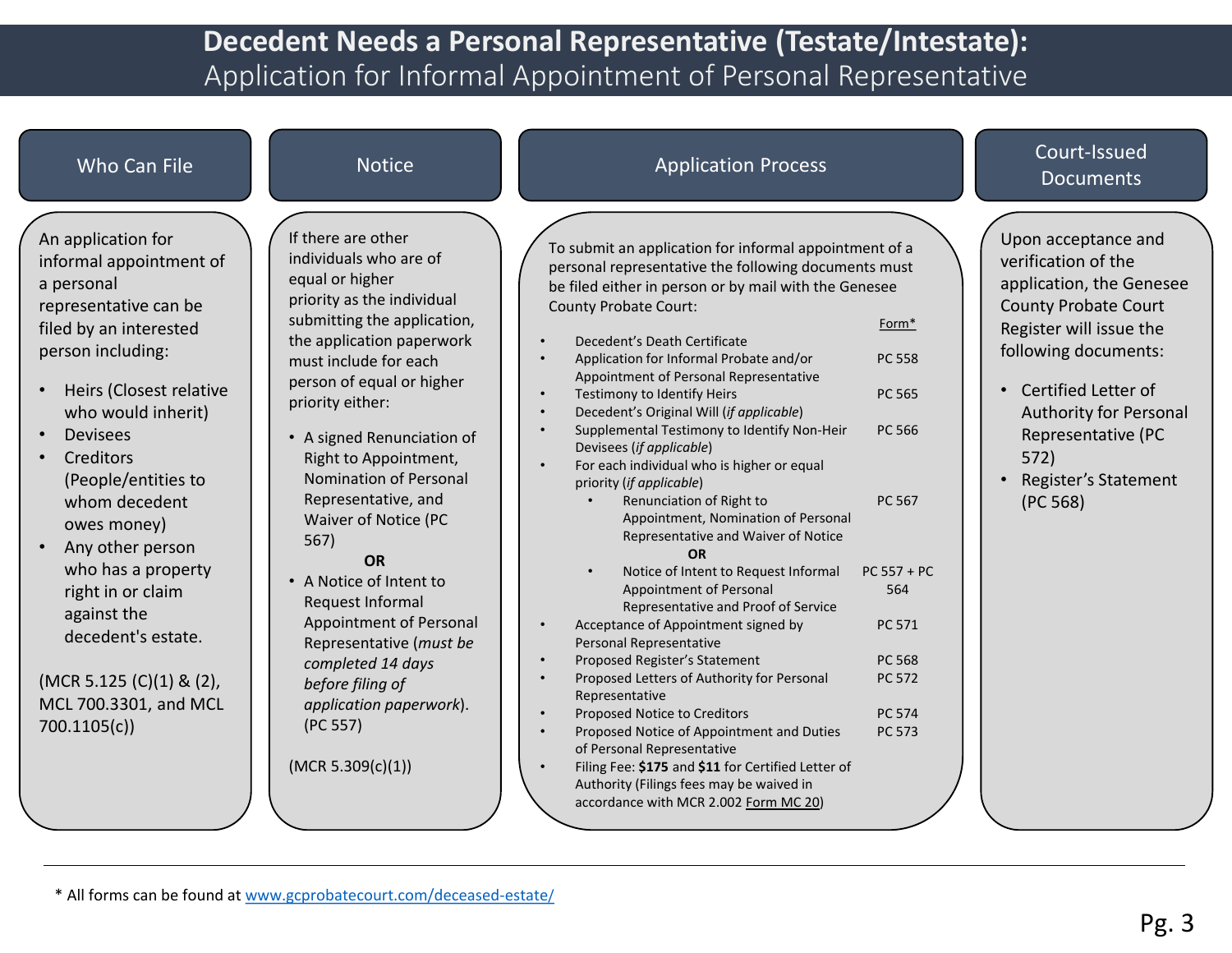## **Decedent Needs a Personal Representative (Testate/Intestate):**  Application for Informal Appointment of Personal Representative

| Who Can File                                                                                                                                                                                                                                                                                                                                                                                                                                        | <b>Notice</b>                                                                                                                                                                                                                                                                                                                                                                                                                                                                                                                                                                                      | <b>Application Process</b>                                                                                                                                                                                                                                                                                                                                                                                                                                                                                                                                                                                                                                                                                                                                                                                                                                                                                                                                                                                                                                                                                                                                                                                                          | Court-Issued<br><b>Documents</b>                                                                                                                                                                                                                                                                                                                                                                                                       |
|-----------------------------------------------------------------------------------------------------------------------------------------------------------------------------------------------------------------------------------------------------------------------------------------------------------------------------------------------------------------------------------------------------------------------------------------------------|----------------------------------------------------------------------------------------------------------------------------------------------------------------------------------------------------------------------------------------------------------------------------------------------------------------------------------------------------------------------------------------------------------------------------------------------------------------------------------------------------------------------------------------------------------------------------------------------------|-------------------------------------------------------------------------------------------------------------------------------------------------------------------------------------------------------------------------------------------------------------------------------------------------------------------------------------------------------------------------------------------------------------------------------------------------------------------------------------------------------------------------------------------------------------------------------------------------------------------------------------------------------------------------------------------------------------------------------------------------------------------------------------------------------------------------------------------------------------------------------------------------------------------------------------------------------------------------------------------------------------------------------------------------------------------------------------------------------------------------------------------------------------------------------------------------------------------------------------|----------------------------------------------------------------------------------------------------------------------------------------------------------------------------------------------------------------------------------------------------------------------------------------------------------------------------------------------------------------------------------------------------------------------------------------|
| An application for<br>informal appointment of<br>a personal<br>representative can be<br>filed by an interested<br>person including:<br>Heirs (Closest relative<br>who would inherit)<br><b>Devisees</b><br>Creditors<br>(People/entities to<br>whom decedent<br>owes money)<br>Any other person<br>who has a property<br>right in or claim<br>against the<br>decedent's estate.<br>(MCR 5.125 (C)(1) & (2),<br>MCL 700.3301, and MCL<br>700.1105(c) | If there are other<br>individuals who are of<br>equal or higher<br>priority as the individual<br>submitting the application,<br>the application paperwork<br>must include for each<br>person of equal or higher<br>priority either:<br>• A signed Renunciation of<br>Right to Appointment,<br>Nomination of Personal<br>Representative, and<br>Waiver of Notice (PC<br>567)<br><b>OR</b><br>• A Notice of Intent to<br>Request Informal<br>Appointment of Personal<br>Representative (must be<br>completed 14 days<br>before filing of<br>application paperwork).<br>(PC 557)<br>(MCR 5.309(c)(1)) | To submit an application for informal appointment of a<br>personal representative the following documents must<br>be filed either in person or by mail with the Genesee<br><b>County Probate Court:</b><br>Decedent's Death Certificate<br>Application for Informal Probate and/or<br>Appointment of Personal Representative<br>Testimony to Identify Heirs<br>Decedent's Original Will (if applicable)<br>Supplemental Testimony to Identify Non-Heir<br>Devisees (if applicable)<br>For each individual who is higher or equal<br>priority (if applicable)<br>Renunciation of Right to<br>Appointment, Nomination of Personal<br>Representative and Waiver of Notice<br><b>OR</b><br>Notice of Intent to Request Informal<br>Appointment of Personal<br>Representative and Proof of Service<br>Acceptance of Appointment signed by<br>$\bullet$<br>Personal Representative<br>Proposed Register's Statement<br>Proposed Letters of Authority for Personal<br>Representative<br>Proposed Notice to Creditors<br>Proposed Notice of Appointment and Duties<br>of Personal Representative<br>Filing Fee: \$175 and \$11 for Certified Letter of<br>Authority (Filings fees may be waived in<br>accordance with MCR 2.002 Form MC 20) | Upon acceptance and<br>verification of the<br>application, the Genesee<br><b>County Probate Court</b><br>Form <sup>*</sup><br>Register will issue the<br>following documents:<br>PC 558<br>Certified Letter of<br>PC 565<br>Authority for Personal<br>PC 566<br>Representative (PC<br>572)<br>Register's Statement<br>$\bullet$<br>PC 567<br>(PC 568)<br>$PC 557 + PC$<br>564<br>PC 571<br>PC 568<br>PC 572<br><b>PC 574</b><br>PC 573 |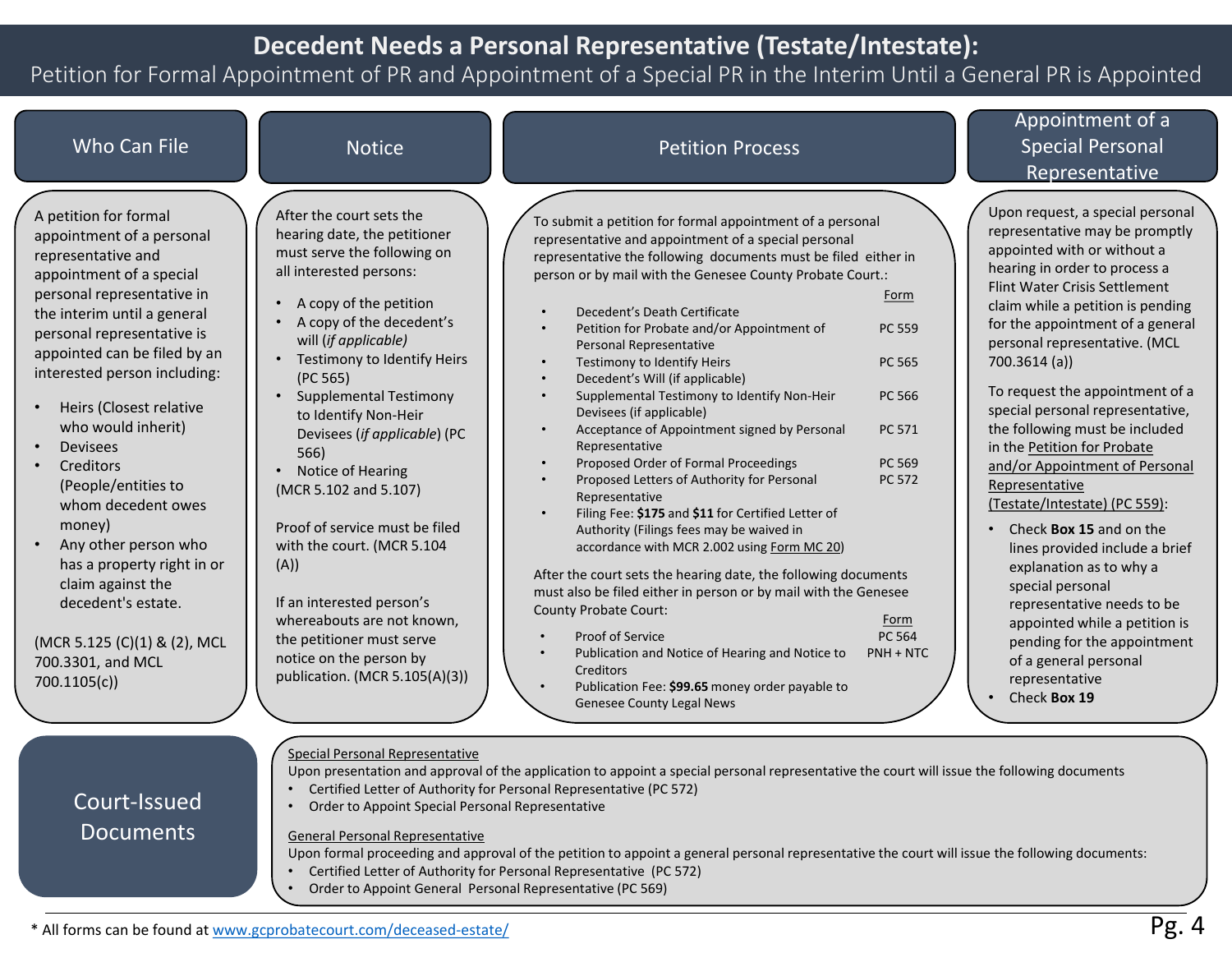## **Decedent Needs a Personal Representative (Testate/Intestate):**

### Petition for Formal Appointment of PR and Appointment of a Special PR in the Interim Until a General PR is Appointed

| Who Can File                                                                                                                                                                                                                                                                                                                                                                                                                                                                                                                                                                 | <b>Notice</b>                                                                                                                                                                                                                                                                                                                                                                                                                                                                                                                                                                                                           | <b>Petition Process</b>                                                                                                                                                                                                                                                                                                                                                                                                                                                                                                                                                                                                                                                                                                                                                                                                                                                                                                                                                                                                                                                                                                                                                                              |                                                                                                   | Appointment of a<br><b>Special Personal</b><br>Representative                                                                                                                                                                                                                                                                                                                                                                                                                                                                                                                                                                                                                                                                                                                                   |
|------------------------------------------------------------------------------------------------------------------------------------------------------------------------------------------------------------------------------------------------------------------------------------------------------------------------------------------------------------------------------------------------------------------------------------------------------------------------------------------------------------------------------------------------------------------------------|-------------------------------------------------------------------------------------------------------------------------------------------------------------------------------------------------------------------------------------------------------------------------------------------------------------------------------------------------------------------------------------------------------------------------------------------------------------------------------------------------------------------------------------------------------------------------------------------------------------------------|------------------------------------------------------------------------------------------------------------------------------------------------------------------------------------------------------------------------------------------------------------------------------------------------------------------------------------------------------------------------------------------------------------------------------------------------------------------------------------------------------------------------------------------------------------------------------------------------------------------------------------------------------------------------------------------------------------------------------------------------------------------------------------------------------------------------------------------------------------------------------------------------------------------------------------------------------------------------------------------------------------------------------------------------------------------------------------------------------------------------------------------------------------------------------------------------------|---------------------------------------------------------------------------------------------------|-------------------------------------------------------------------------------------------------------------------------------------------------------------------------------------------------------------------------------------------------------------------------------------------------------------------------------------------------------------------------------------------------------------------------------------------------------------------------------------------------------------------------------------------------------------------------------------------------------------------------------------------------------------------------------------------------------------------------------------------------------------------------------------------------|
| A petition for formal<br>appointment of a personal<br>representative and<br>appointment of a special<br>personal representative in<br>the interim until a general<br>personal representative is<br>appointed can be filed by an<br>interested person including:<br>Heirs (Closest relative<br>who would inherit)<br><b>Devisees</b><br>Creditors<br>(People/entities to<br>whom decedent owes<br>money)<br>Any other person who<br>has a property right in or<br>claim against the<br>decedent's estate.<br>(MCR 5.125 (C)(1) & (2), MCL<br>700.3301, and MCL<br>700.1105(c) | After the court sets the<br>hearing date, the petitioner<br>must serve the following on<br>all interested persons:<br>A copy of the petition<br>A copy of the decedent's<br>will (if applicable)<br>Testimony to Identify Heirs<br>(PC 565)<br><b>Supplemental Testimony</b><br>to Identify Non-Heir<br>Devisees (if applicable) (PC<br>566)<br>Notice of Hearing<br>(MCR 5.102 and 5.107)<br>Proof of service must be filed<br>with the court. (MCR 5.104<br>(A))<br>If an interested person's<br>whereabouts are not known,<br>the petitioner must serve<br>notice on the person by<br>publication. (MCR 5.105(A)(3)) | To submit a petition for formal appointment of a personal<br>representative and appointment of a special personal<br>representative the following documents must be filed either in<br>person or by mail with the Genesee County Probate Court.:<br>Decedent's Death Certificate<br>Petition for Probate and/or Appointment of<br>Personal Representative<br>Testimony to Identify Heirs<br>Decedent's Will (if applicable)<br>Supplemental Testimony to Identify Non-Heir<br>Devisees (if applicable)<br>Acceptance of Appointment signed by Personal<br>Representative<br>Proposed Order of Formal Proceedings<br>Proposed Letters of Authority for Personal<br>Representative<br>Filing Fee: \$175 and \$11 for Certified Letter of<br>Authority (Filings fees may be waived in<br>accordance with MCR 2.002 using Form MC 20)<br>After the court sets the hearing date, the following documents<br>must also be filed either in person or by mail with the Genesee<br><b>County Probate Court:</b><br>Proof of Service<br>$\bullet$<br>Publication and Notice of Hearing and Notice to<br>$\bullet$<br>Creditors<br>Publication Fee: \$99.65 money order payable to<br>Genesee County Legal News | Form<br>PC 559<br>PC 565<br>PC 566<br>PC 571<br>PC 569<br>PC 572<br>Form<br>PC 564<br>$PNH + NTC$ | Upon request, a special personal<br>representative may be promptly<br>appointed with or without a<br>hearing in order to process a<br>Flint Water Crisis Settlement<br>claim while a petition is pending<br>for the appointment of a general<br>personal representative. (MCL<br>700.3614 (a)<br>To request the appointment of a<br>special personal representative,<br>the following must be included<br>in the Petition for Probate<br>and/or Appointment of Personal<br>Representative<br>(Testate/Intestate) (PC 559):<br>Check Box 15 and on the<br>lines provided include a brief<br>explanation as to why a<br>special personal<br>representative needs to be<br>appointed while a petition is<br>pending for the appointment<br>of a general personal<br>representative<br>Check Box 19 |
| Court-Issued<br><b>Documents</b>                                                                                                                                                                                                                                                                                                                                                                                                                                                                                                                                             | Special Personal Representative<br>Order to Appoint Special Personal Representative<br>$\bullet$<br><b>General Personal Representative</b><br>Order to Appoint General Personal Representative (PC 569)<br>* All forms can be found at www.gcprobatecourt.com/deceased-estate/                                                                                                                                                                                                                                                                                                                                          | Upon presentation and approval of the application to appoint a special personal representative the court will issue the following documents<br>Certified Letter of Authority for Personal Representative (PC 572)<br>Upon formal proceeding and approval of the petition to appoint a general personal representative the court will issue the following documents:<br>Certified Letter of Authority for Personal Representative (PC 572)                                                                                                                                                                                                                                                                                                                                                                                                                                                                                                                                                                                                                                                                                                                                                            |                                                                                                   | Pg.4                                                                                                                                                                                                                                                                                                                                                                                                                                                                                                                                                                                                                                                                                                                                                                                            |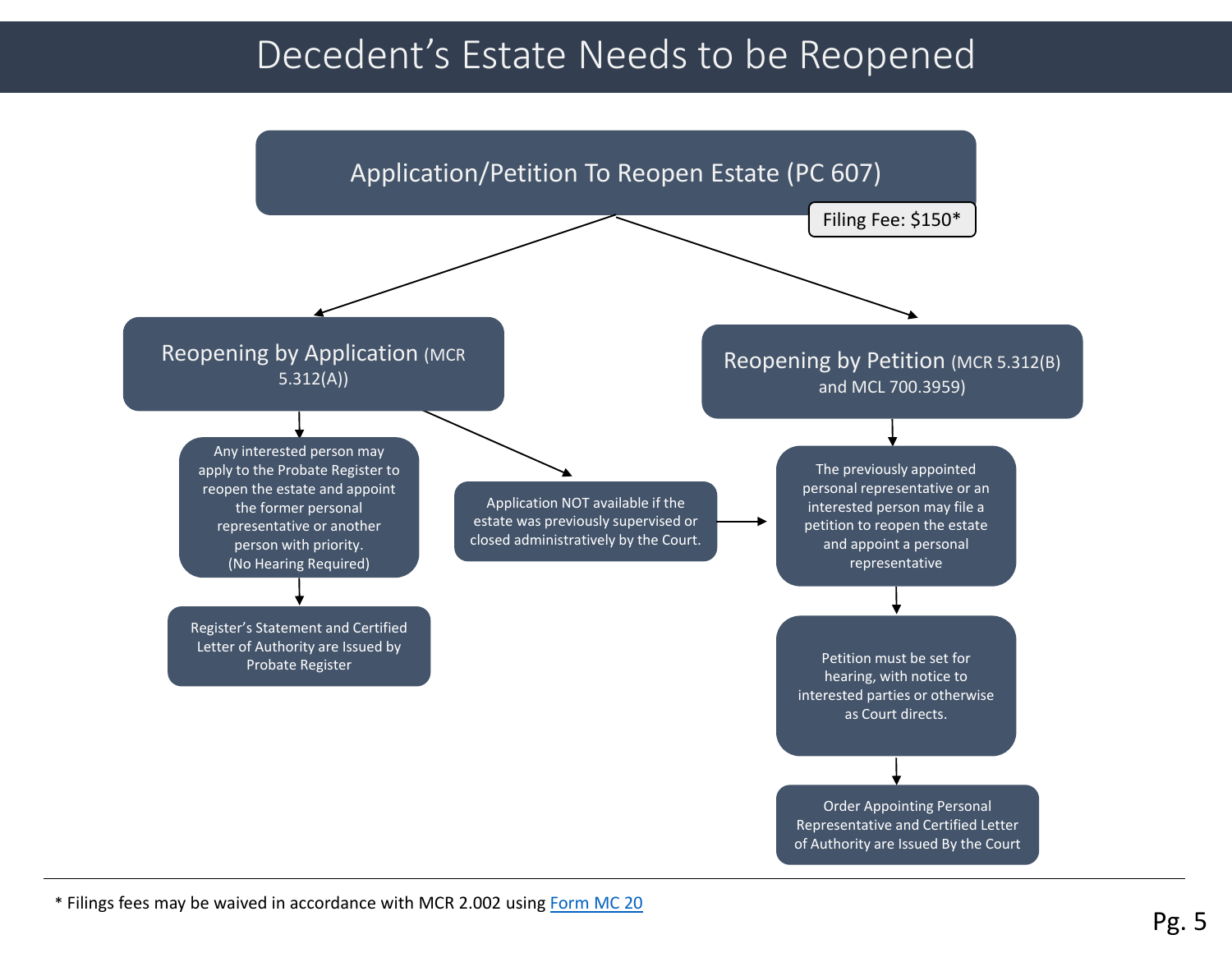# Decedent's Estate Needs to be Reopened